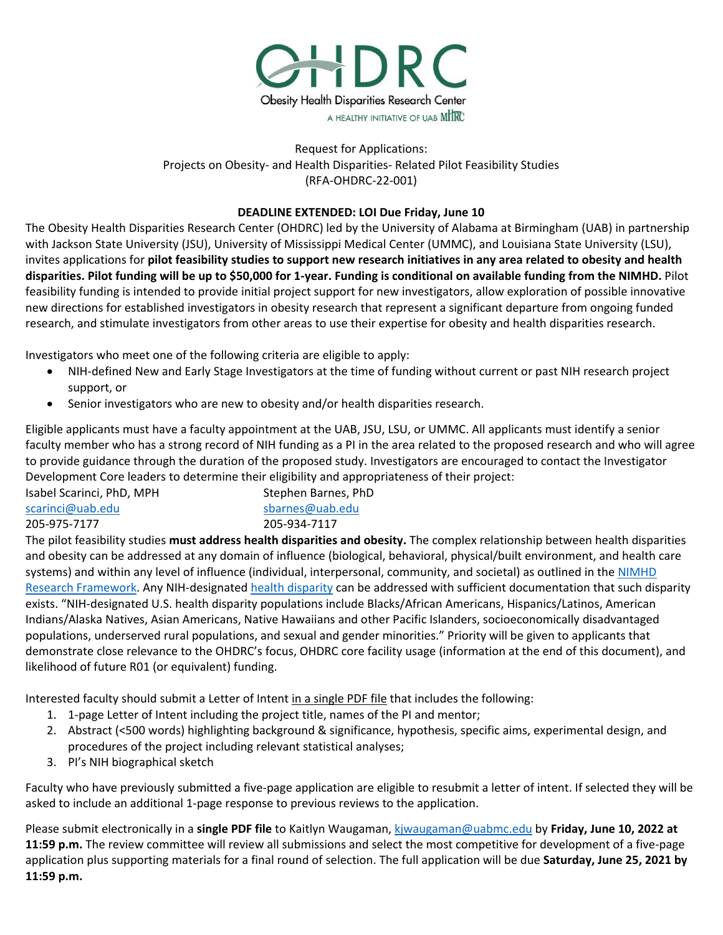

# Request for Applications: Projects on Obesity- and Health Disparities- Related Pilot Feasibility Studies (RFA-OHDRC-22-001)

## **DEADLINE EXTENDED: LOI Due Friday, June 10**

The Obesity Health Disparities Research Center (OHDRC) led by the University of Alabama at Birmingham (UAB) in partnership with Jackson State University (JSU), University of Mississippi Medical Center (UMMC), and Louisiana State University (LSU), invites applications for **pilot feasibility studies to support new research initiatives in any area related to obesity and health disparities. Pilot funding will be up to \$50,000 for 1-year. Funding is conditional on available funding from the NIMHD.** Pilot feasibility funding is intended to provide initial project support for new investigators, allow exploration of possible innovative new directions for established investigators in obesity research that represent a significant departure from ongoing funded research, and stimulate investigators from other areas to use their expertise for obesity and health disparities research.

Investigators who meet one of the following criteria are eligible to apply:

- NIH-defined New and Early Stage Investigators at the time of funding without current or past NIH research project support, or
- Senior investigators who are new to obesity and/or health disparities research.

Eligible applicants must have a faculty appointment at the UAB, JSU, LSU, or UMMC. All applicants must identify a senior faculty member who has a strong record of NIH funding as a PI in the area related to the proposed research and who will agree to provide guidance through the duration of the proposed study. Investigators are encouraged to contact the Investigator Development Core leaders to determine their eligibility and appropriateness of their project:

Isabel Scarinci, PhD, MPH [scarinci@uab.edu](mailto:scarinci@uab.edu) 205-975-7177 Stephen Barnes, PhD [sbarnes@uab.edu](mailto:sbarnes@uab.edu) 205-934-7117

The pilot feasibility studies **must address health disparities and obesity.** The complex relationship between health disparities and obesity can be addressed at any domain of influence (biological, behavioral, physical/built environment, and health care systems) and within any level of influence (individual, interpersonal, community, and societal) as outlined in the [NIMHD](https://www.nimhd.nih.gov/about/overview/research-framework/)  [Research Framework.](https://www.nimhd.nih.gov/about/overview/research-framework/) Any NIH-designated [health disparity](https://www.nimhd.nih.gov/about/overview/) can be addressed with sufficient documentation that such disparity exists. "NIH-designated U.S. health disparity populations include Blacks/African Americans, Hispanics/Latinos, American Indians/Alaska Natives, Asian Americans, Native Hawaiians and other Pacific Islanders, socioeconomically disadvantaged populations, underserved rural populations, and sexual and gender minorities." Priority will be given to applicants that demonstrate close relevance to the OHDRC's focus, OHDRC core facility usage (information at the end of this document), and likelihood of future R01 (or equivalent) funding.

Interested faculty should submit a Letter of Intent in a single PDF file that includes the following:

- 1. 1-page Letter of Intent including the project title, names of the PI and mentor;
- 2. Abstract (<500 words) highlighting background & significance, hypothesis, specific aims, experimental design, and procedures of the project including relevant statistical analyses;
- 3. PI's NIH biographical sketch

Faculty who have previously submitted a five-page application are eligible to resubmit a letter of intent. If selected they will be asked to include an additional 1-page response to previous reviews to the application.

Please submit electronically in a **single PDF file** to Kaitlyn Waugaman, [kjwaugaman@uabmc.edu](mailto:kjwaugaman@uabmc.edu) by **Friday, June 10, 2022 at 11:59 p.m.** The review committee will review all submissions and select the most competitive for development of a five-page application plus supporting materials for a final round of selection. The full application will be due **Saturday, June 25, 2021 by 11:59 p.m.**